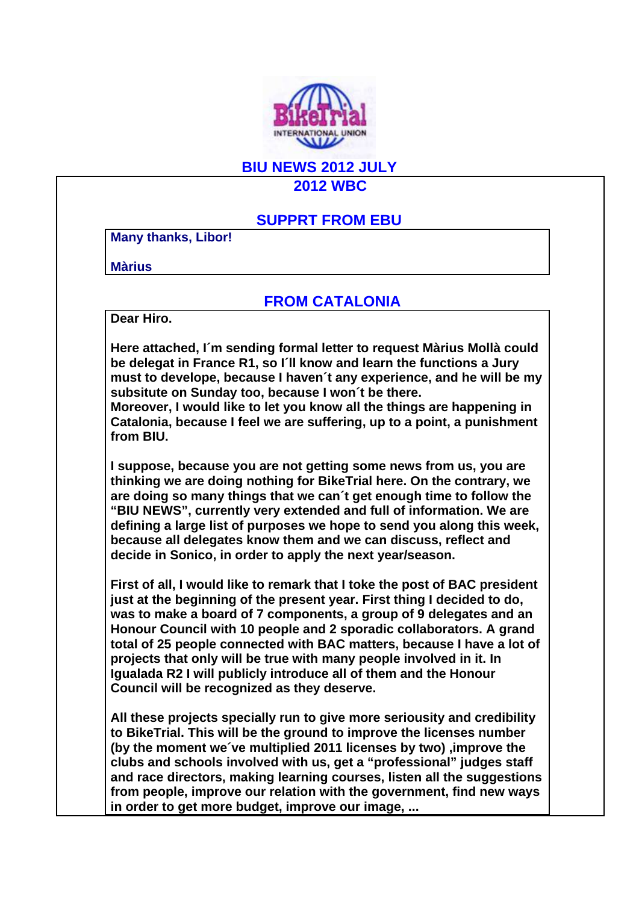

## **BIU NEWS 2012 JULY 2012 WBC**

# **SUPPRT FROM EBU**

**Many thanks, Libor!** 

**Màrius** 

## **FROM CATALONIA**

**Dear Hiro.** 

**Here attached, I´m sending formal letter to request Màrius Mollà could be delegat in France R1, so I´ll know and learn the functions a Jury must to develope, because I haven´t any experience, and he will be my subsitute on Sunday too, because I won´t be there.** 

**Moreover, I would like to let you know all the things are happening in Catalonia, because I feel we are suffering, up to a point, a punishment from BIU.** 

**I suppose, because you are not getting some news from us, you are thinking we are doing nothing for BikeTrial here. On the contrary, we are doing so many things that we can´t get enough time to follow the "BIU NEWS", currently very extended and full of information. We are defining a large list of purposes we hope to send you along this week, because all delegates know them and we can discuss, reflect and decide in Sonico, in order to apply the next year/season.** 

**First of all, I would like to remark that I toke the post of BAC president just at the beginning of the present year. First thing I decided to do, was to make a board of 7 components, a group of 9 delegates and an Honour Council with 10 people and 2 sporadic collaborators. A grand total of 25 people connected with BAC matters, because I have a lot of projects that only will be true with many people involved in it. In Igualada R2 I will publicly introduce all of them and the Honour Council will be recognized as they deserve.** 

**All these projects specially run to give more seriousity and credibility to BikeTrial. This will be the ground to improve the licenses number (by the moment we´ve multiplied 2011 licenses by two) ,improve the clubs and schools involved with us, get a "professional" judges staff and race directors, making learning courses, listen all the suggestions from people, improve our relation with the government, find new ways in order to get more budget, improve our image, ...**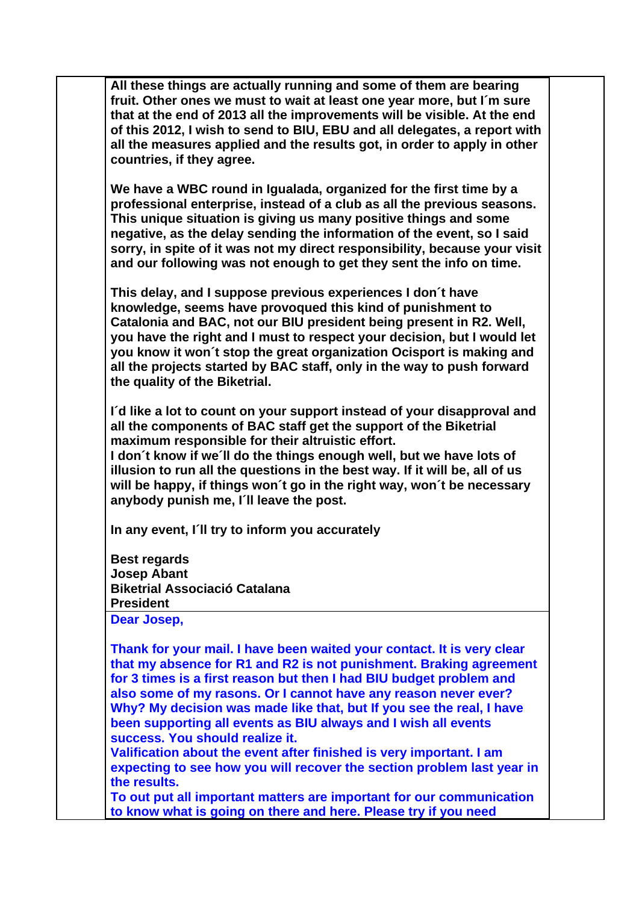**All these things are actually running and some of them are bearing fruit. Other ones we must to wait at least one year more, but I´m sure that at the end of 2013 all the improvements will be visible. At the end of this 2012, I wish to send to BIU, EBU and all delegates, a report with all the measures applied and the results got, in order to apply in other countries, if they agree.** 

**We have a WBC round in Igualada, organized for the first time by a professional enterprise, instead of a club as all the previous seasons. This unique situation is giving us many positive things and some negative, as the delay sending the information of the event, so I said sorry, in spite of it was not my direct responsibility, because your visit and our following was not enough to get they sent the info on time.** 

**This delay, and I suppose previous experiences I don´t have knowledge, seems have provoqued this kind of punishment to Catalonia and BAC, not our BIU president being present in R2. Well, you have the right and I must to respect your decision, but I would let you know it won´t stop the great organization Ocisport is making and all the projects started by BAC staff, only in the way to push forward the quality of the Biketrial.** 

**I´d like a lot to count on your support instead of your disapproval and all the components of BAC staff get the support of the Biketrial maximum responsible for their altruistic effort.** 

**I don´t know if we´ll do the things enough well, but we have lots of illusion to run all the questions in the best way. If it will be, all of us will be happy, if things won´t go in the right way, won´t be necessary anybody punish me, I´ll leave the post.** 

**In any event, I´ll try to inform you accurately** 

**Best regards Josep Abant Biketrial Associació Catalana President** 

**Dear Josep,** 

**Thank for your mail. I have been waited your contact. It is very clear that my absence for R1 and R2 is not punishment. Braking agreement for 3 times is a first reason but then I had BIU budget problem and also some of my rasons. Or I cannot have any reason never ever? Why? My decision was made like that, but If you see the real, I have been supporting all events as BIU always and I wish all events success. You should realize it.** 

**Valification about the event after finished is very important. I am expecting to see how you will recover the section problem last year in the results.** 

**To out put all important matters are important for our communication to know what is going on there and here. Please try if you need**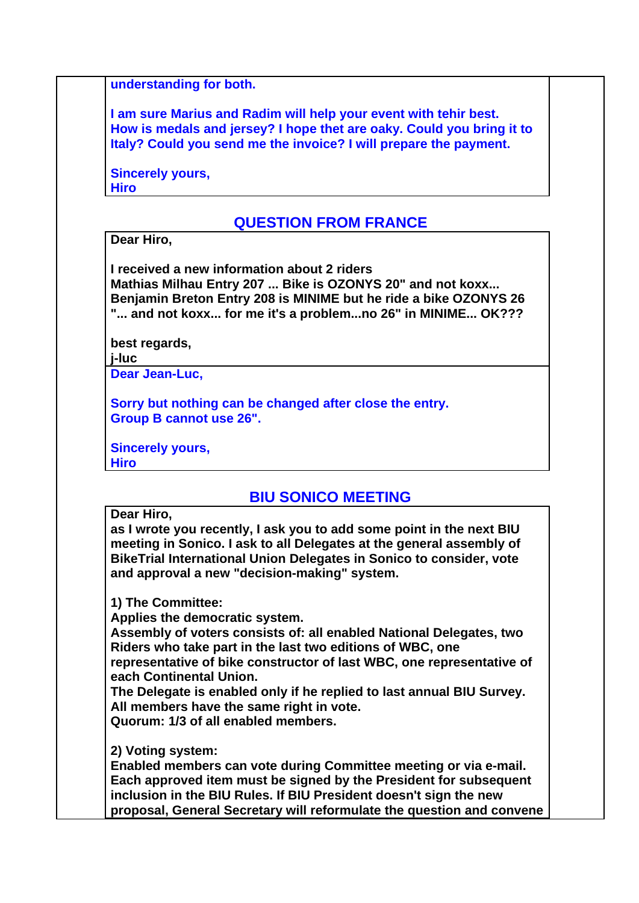**understanding for both.** 

**I am sure Marius and Radim will help your event with tehir best. How is medals and jersey? I hope thet are oaky. Could you bring it to Italy? Could you send me the invoice? I will prepare the payment.** 

**Sincerely yours, Hiro** 

## **QUESTION FROM FRANCE**

**Dear Hiro,** 

**I received a new information about 2 riders Mathias Milhau Entry 207 ... Bike is OZONYS 20" and not koxx... Benjamin Breton Entry 208 is MINIME but he ride a bike OZONYS 26 "... and not koxx... for me it's a problem...no 26" in MINIME... OK???** 

**best regards,** 

**j-luc** 

**Dear Jean-Luc,** 

**Sorry but nothing can be changed after close the entry. Group B cannot use 26".** 

**Sincerely yours, Hiro** 

# **BIU SONICO MEETING**

#### **Dear Hiro,**

**as I wrote you recently, I ask you to add some point in the next BIU meeting in Sonico. I ask to all Delegates at the general assembly of BikeTrial International Union Delegates in Sonico to consider, vote and approval a new "decision-making" system.** 

## **1) The Committee:**

**Applies the democratic system.** 

**Assembly of voters consists of: all enabled National Delegates, two Riders who take part in the last two editions of WBC, one representative of bike constructor of last WBC, one representative of** 

**each Continental Union.** 

**The Delegate is enabled only if he replied to last annual BIU Survey. All members have the same right in vote. Quorum: 1/3 of all enabled members.** 

**2) Voting system:** 

**Enabled members can vote during Committee meeting or via e-mail. Each approved item must be signed by the President for subsequent inclusion in the BIU Rules. If BIU President doesn't sign the new proposal, General Secretary will reformulate the question and convene**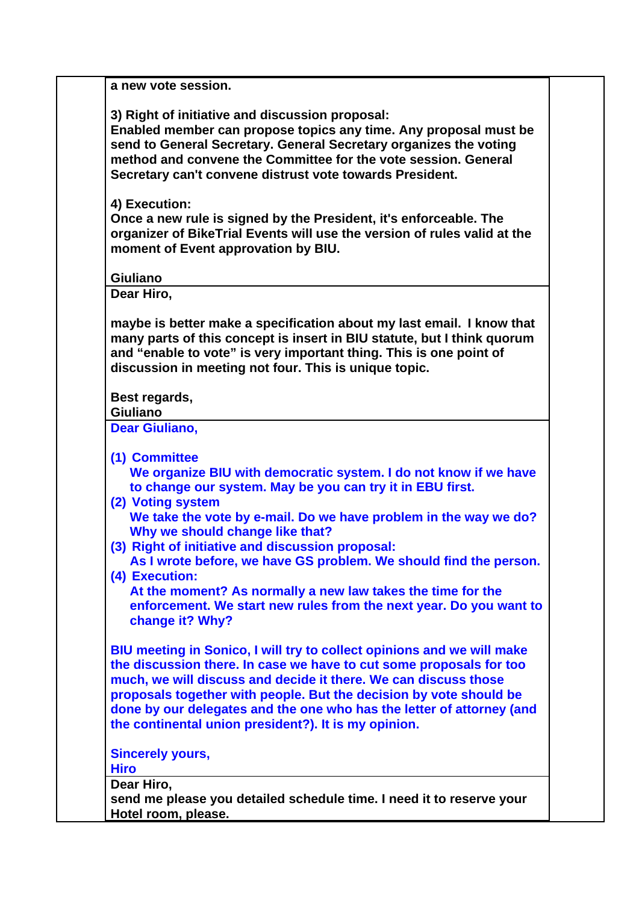**a new vote session.** 

**3) Right of initiative and discussion proposal:** 

**Enabled member can propose topics any time. Any proposal must be send to General Secretary. General Secretary organizes the voting method and convene the Committee for the vote session. General Secretary can't convene distrust vote towards President.** 

**4) Execution:** 

**Once a new rule is signed by the President, it's enforceable. The organizer of BikeTrial Events will use the version of rules valid at the moment of Event approvation by BIU.** 

**Giuliano**

**Dear Hiro,** 

**maybe is better make a specification about my last email. I know that many parts of this concept is insert in BIU statute, but I think quorum and "enable to vote" is very important thing. This is one point of discussion in meeting not four. This is unique topic.** 

**Best regards,** 

**Giuliano** 

**Dear Giuliano,** 

**(1) Committee** 

**We organize BIU with democratic system. I do not know if we have to change our system. May be you can try it in EBU first.** 

- **(2) Voting system We take the vote by e-mail. Do we have problem in the way we do? Why we should change like that?**
- **(3) Right of initiative and discussion proposal: As I wrote before, we have GS problem. We should find the person.**
- **(4) Execution:**

**At the moment? As normally a new law takes the time for the enforcement. We start new rules from the next year. Do you want to change it? Why?** 

**BIU meeting in Sonico, I will try to collect opinions and we will make the discussion there. In case we have to cut some proposals for too much, we will discuss and decide it there. We can discuss those proposals together with people. But the decision by vote should be done by our delegates and the one who has the letter of attorney (and the continental union president?). It is my opinion.** 

**Sincerely yours,** 

**Hiro Dear Hiro,** 

**send me please you detailed schedule time. I need it to reserve your Hotel room, please.**